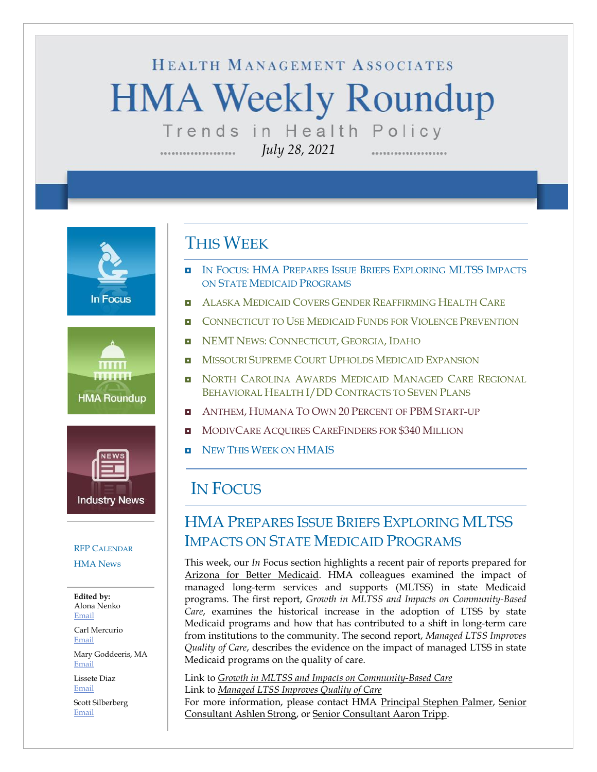# HEALTH MANAGEMENT ASSOCIATES **HMA Weekly Roundup** Trends in Health Policy







#### RFP C[ALENDAR](#page-8-0)

[HMA News](#page-10-0)

**Edited by:** Alona Nenko [Email](mailto:anenko@healthmanagement.com)

Carl Mercurio [Email](mailto:cmercurio@healthmanagement.com)

Mary Goddeeris, MA [Email](mailto:mgoddeeris@healthmanagement.com)

Lissete Diaz [Email](mailto:ldiaz@healthmanagement.com)

Scott Silberberg [Email](mailto:ssilberberg@healthmanagement.com)

### THIS WEEK

*July 28, 2021*

- **IN FOCUS: HMA PREPARES ISSUE BRIEFS E[XPLORING](#page-0-0) MLTSS IMPACTS** ON STATE MEDICAID P[ROGRAMS](#page-0-0)
- **ALASKA MEDICAID COVERS GENDER R[EAFFIRMING](#page-1-0) HEALTH CARE**
- **D** C[ONNECTICUT TO](#page-1-1) USE MEDICAID FUNDS FOR VIOLENCE PREVENTION
- **NEMT NEWS: C[ONNECTICUT](#page-1-1), GEORGIA, IDAHO**
- **MISSOURI SUPREME COURT UPHOLDS MEDICAID E[XPANSION](#page-2-0)**
- **D** NORTH C[AROLINA](#page-3-0) AWARDS MEDICAID MANAGED CARE REGIONAL BEHAVIORAL HEALTH I/DD C[ONTRACTS TO](#page-3-0) SEVEN PLANS
- **ANTHEM, HUMANA TO OWN 20 P[ERCENT OF](#page-7-0) PBM START-UP**
- **MODIVCARE ACQUIRES CAREF[INDERS FOR](#page-7-0) \$340 MILLION**
- **D** NEW THIS WEEK ON [HMAIS](#page-10-0)

## IN FOCUS

### <span id="page-0-0"></span>HMA PREPARES ISSUE BRIEFS EXPLORING MLTSS IMPACTS ON STATE MEDICAID PROGRAMS

This week, our *In* Focus section highlights a recent pair of reports prepared for [Arizona for Better Medicaid.](https://arizonaforbettermedicaid.org/) HMA colleagues examined the impact of managed long-term services and supports (MLTSS) in state Medicaid programs. The first report, *Growth in MLTSS and Impacts on Community-Based Care*, examines the historical increase in the adoption of LTSS by state Medicaid programs and how that has contributed to a shift in long-term care from institutions to the community. The second report, *Managed LTSS Improves Quality of Care*, describes the evidence on the impact of managed LTSS in state Medicaid programs on the quality of care.

Link to *[Growth in MLTSS and Impacts on Community-Based Care](https://www.healthmanagement.com/wp-content/uploads/ABM_HMA_MLTSS-Community-Based-Care_FINAL.pdf)* Link to *[Managed LTSS Improves Quality of Care](https://www.healthmanagement.com/wp-content/uploads/ABM_HMA_MLTSS-Quality-Care_FINAL.pdf)*

For more information, please contact HMA [Principal Stephen Palmer,](https://www.healthmanagement.com/our-team/staff-directory/name/stephen-palmer/) [Senior](https://www.healthmanagement.com/our-team/staff-directory/name/ashlen-strong/)  [Consultant Ashlen Strong,](https://www.healthmanagement.com/our-team/staff-directory/name/ashlen-strong/) or [Senior Consultant Aaron Tripp.](https://www.healthmanagement.com/our-team/staff-directory/name/aaron-tripp/)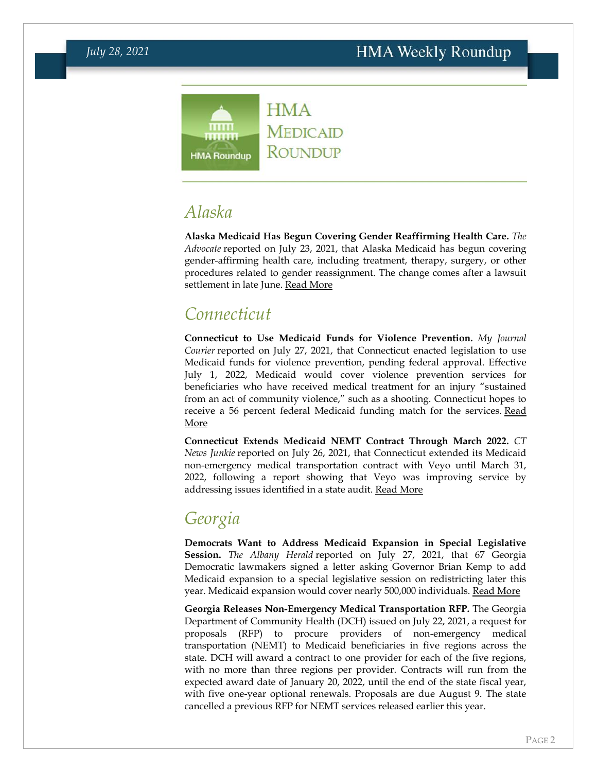

# <span id="page-1-0"></span>*Alaska*

**Alaska Medicaid Has Begun Covering Gender Reaffirming Health Care.** *The Advocate* reported on July 23, 2021, that Alaska Medicaid has begun covering gender-affirming health care, including treatment, therapy, surgery, or other procedures related to gender reassignment. The change comes after a lawsuit settlement in late June. [Read More](https://www.advocate.com/transgender/2021/7/23/alaska-allows-medicaid-cover-gender-affirming-health-care)

# <span id="page-1-1"></span>*Connecticut*

**Connecticut to Use Medicaid Funds for Violence Prevention.** *My Journal Courier* reported on July 27, 2021, that Connecticut enacted legislation to use Medicaid funds for violence prevention, pending federal approval. Effective July 1, 2022, Medicaid would cover violence prevention services for beneficiaries who have received medical treatment for an injury "sustained from an act of community violence," such as a shooting. Connecticut hopes to receive a 56 percent federal Medicaid funding match for the services. Read [More](https://www.myjournalcourier.com/news/article/Connecticut-looks-to-use-Medicaid-funds-to-16343466.php)

**Connecticut Extends Medicaid NEMT Contract Through March 2022.** *CT News Junkie* reported on July 26, 2021, that Connecticut extended its Medicaid non-emergency medical transportation contract with Veyo until March 31, 2022, following a report showing that Veyo was improving service by addressing issues identified in a state audit. [Read More](https://ctnewsjunkie.com/2021/07/26/auditors-non-emergency-transportation-provider-makes-improvements/)

# *Georgia*

**Democrats Want to Address Medicaid Expansion in Special Legislative Session.** *The Albany Herald* reported on July 27, 2021, that 67 Georgia Democratic lawmakers signed a letter asking Governor Brian Kemp to add Medicaid expansion to a special legislative session on redistricting later this year. Medicaid expansion would cover nearly 500,000 individuals. [Read More](https://www.albanyherald.com/news/georgia-democrats-call-for-adding-medicaid-expansion-to-special-legislative-session/article_6b82361c-eef7-11eb-8709-c3db5ff51b92.html)

**Georgia Releases Non-Emergency Medical Transportation RFP.** The Georgia Department of Community Health (DCH) issued on July 22, 2021, a request for proposals (RFP) to procure providers of non-emergency medical transportation (NEMT) to Medicaid beneficiaries in five regions across the state. DCH will award a contract to one provider for each of the five regions, with no more than three regions per provider. Contracts will run from the expected award date of January 20, 2022, until the end of the state fiscal year, with five one-year optional renewals. Proposals are due August 9. The state cancelled a previous RFP for NEMT services released earlier this year.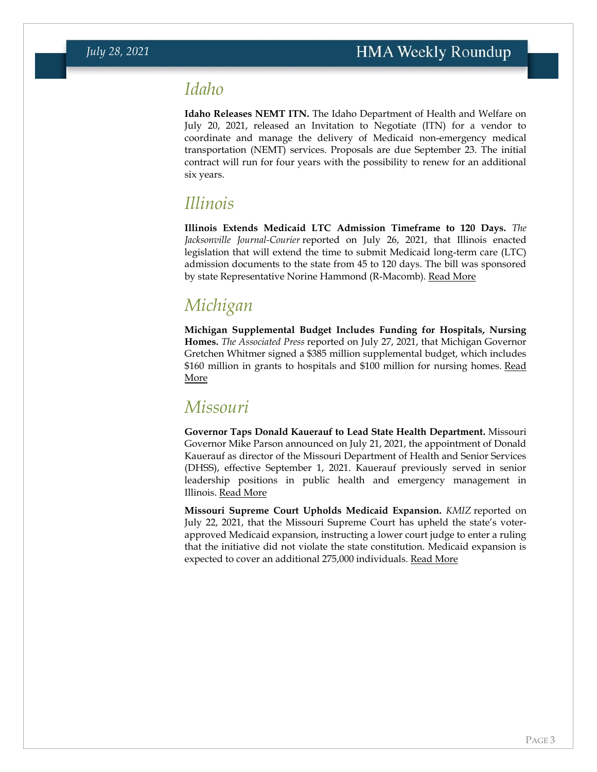### *Idaho*

**Idaho Releases NEMT ITN.** The Idaho Department of Health and Welfare on July 20, 2021, released an Invitation to Negotiate (ITN) for a vendor to coordinate and manage the delivery of Medicaid non-emergency medical transportation (NEMT) services. Proposals are due September 23. The initial contract will run for four years with the possibility to renew for an additional six years.

# *Illinois*

**Illinois Extends Medicaid LTC Admission Timeframe to 120 Days.** *The Jacksonville Journal-Courier* reported on July 26, 2021, that Illinois enacted legislation that will extend the time to submit Medicaid long-term care (LTC) admission documents to the state from 45 to 120 days. The bill was sponsored by state Representative Norine Hammond (R-Macomb). [Read More](https://www.myjournalcourier.com/news/article/Law-extends-Medicaid-admission-window-16340477.php)

# *Michigan*

**Michigan Supplemental Budget Includes Funding for Hospitals, Nursing Homes.** *The Associated Press* reported on July 27, 2021, that Michigan Governor Gretchen Whitmer signed a \$385 million supplemental budget, which includes \$160 million in grants to hospitals and \$100 million for nursing homes. [Read](https://apnews.com/article/government-and-politics-business-health-coronavirus-pandemic-nursing-homes-e04da51a8eaf1f49e6623c3524c6df7a)  [More](https://apnews.com/article/government-and-politics-business-health-coronavirus-pandemic-nursing-homes-e04da51a8eaf1f49e6623c3524c6df7a)

### <span id="page-2-0"></span>*Missouri*

**Governor Taps Donald Kauerauf to Lead State Health Department.** Missouri Governor Mike Parson announced on July 21, 2021, the appointment of Donald Kauerauf as director of the Missouri Department of Health and Senior Services (DHSS), effective September 1, 2021. Kauerauf previously served in senior leadership positions in public health and emergency management in Illinois. [Read More](https://governor.mo.gov/press-releases/archive/governor-parson-announces-donald-g-kauerauf-lead-missouri-department-health)

**Missouri Supreme Court Upholds Medicaid Expansion.** *KMIZ* reported on July 22, 2021, that the Missouri Supreme Court has upheld the state's voterapproved Medicaid expansion, instructing a lower court judge to enter a ruling that the initiative did not violate the state constitution. Medicaid expansion is expected to cover an additional 275,000 individuals. [Read More](https://abc17news.com/news/missouri/2021/07/22/missouri-supreme-court-sides-with-medicaid-expansion-supporters/)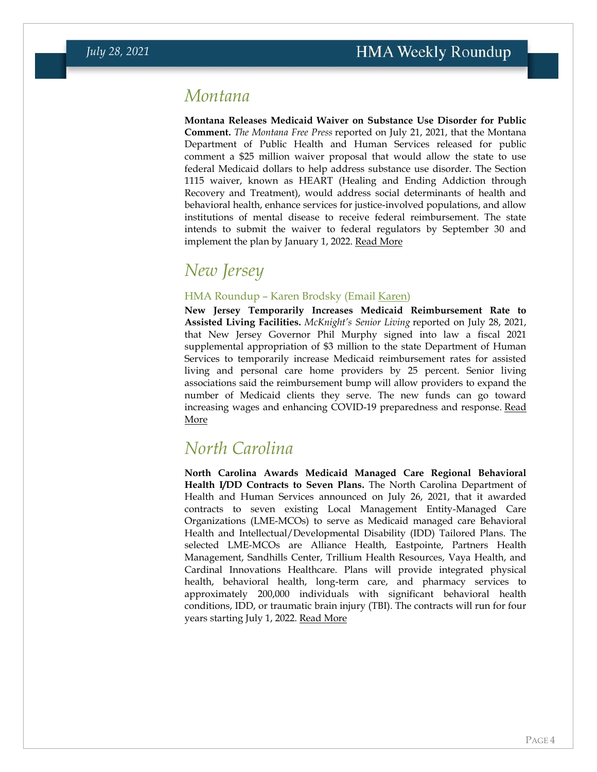### *Montana*

**Montana Releases Medicaid Waiver on Substance Use Disorder for Public Comment.** *The Montana Free Press* reported on July 21, 2021, that the Montana Department of Public Health and Human Services released for public comment a \$25 million waiver proposal that would allow the state to use federal Medicaid dollars to help address substance use disorder. The Section 1115 waiver, known as HEART (Healing and Ending Addiction through Recovery and Treatment), would address social determinants of health and behavioral health, enhance services for justice-involved populations, and allow institutions of mental disease to receive federal reimbursement. The state intends to submit the waiver to federal regulators by September 30 and implement the plan by January 1, 2022. [Read More](https://montanafreepress.org/2021/07/21/montana-health-department-medicaid-plan-addiction-mental-health/)

# *New Jersey*

#### HMA Roundup – Karen Brodsky (Email [Karen\)](mailto:kbrodsky@healthmanagement.com)

**New Jersey Temporarily Increases Medicaid Reimbursement Rate to Assisted Living Facilities.** *McKnight's Senior Living* reported on July 28, 2021, that New Jersey Governor Phil Murphy signed into law a fiscal 2021 supplemental appropriation of \$3 million to the state Department of Human Services to temporarily increase Medicaid reimbursement rates for assisted living and personal care home providers by 25 percent. Senior living associations said the reimbursement bump will allow providers to expand the number of Medicaid clients they serve. The new funds can go toward increasing wages and enhancing COVID-19 preparedness and response. [Read](https://www.mcknightsseniorliving.com/home/news/3-million-medicaid-reimbursement-bump-a-lifesaver-for-some-assisted-living-providers/)  [More](https://www.mcknightsseniorliving.com/home/news/3-million-medicaid-reimbursement-bump-a-lifesaver-for-some-assisted-living-providers/)

### <span id="page-3-0"></span>*North Carolina*

**North Carolina Awards Medicaid Managed Care Regional Behavioral Health I/DD Contracts to Seven Plans.** The North Carolina Department of Health and Human Services announced on July 26, 2021, that it awarded contracts to seven existing Local Management Entity-Managed Care Organizations (LME-MCOs) to serve as Medicaid managed care Behavioral Health and Intellectual/Developmental Disability (IDD) Tailored Plans. The selected LME-MCOs are Alliance Health, Eastpointe, Partners Health Management, Sandhills Center, Trillium Health Resources, Vaya Health, and Cardinal Innovations Healthcare. Plans will provide integrated physical health, behavioral health, long-term care, and pharmacy services to approximately 200,000 individuals with significant behavioral health conditions, IDD, or traumatic brain injury (TBI). The contracts will run for four years starting July 1, 2022. [Read More](https://www.ncdhhs.gov/news/press-releases/2021/07/26/ncdhhs-announces-medicaid-managed-care-regional-behavioral-health-idd-tailored-plans)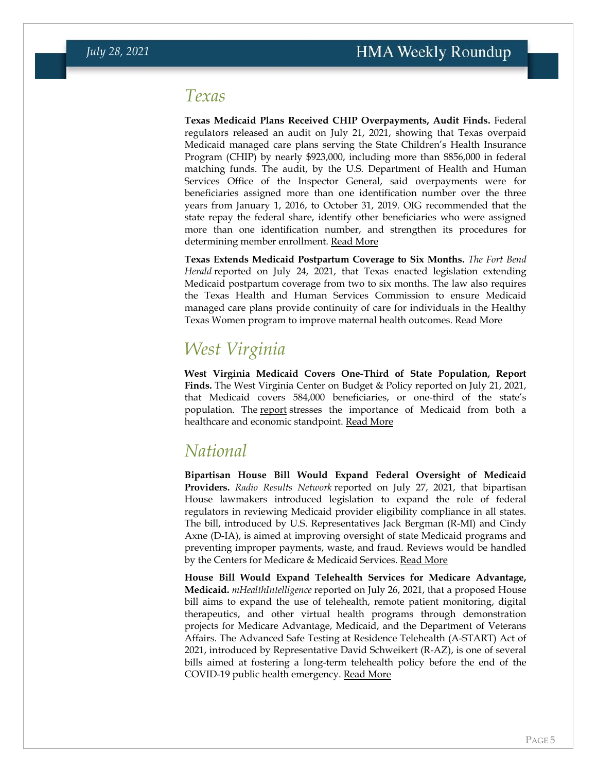### *Texas*

**Texas Medicaid Plans Received CHIP Overpayments, Audit Finds.** Federal regulators released an audit on July 21, 2021, showing that Texas overpaid Medicaid managed care plans serving the State Children's Health Insurance Program (CHIP) by nearly \$923,000, including more than \$856,000 in federal matching funds. The audit, by the U.S. Department of Health and Human Services Office of the Inspector General, said overpayments were for beneficiaries assigned more than one identification number over the three years from January 1, 2016, to October 31, 2019. OIG recommended that the state repay the federal share, identify other beneficiaries who were assigned more than one identification number, and strengthen its procedures for determining member enrollment. [Read More](https://www.oig.hhs.gov/oas/reports/region6/62010003.asp)

**Texas Extends Medicaid Postpartum Coverage to Six Months.** *The Fort Bend Herald* reported on July 24, 2021, that Texas enacted legislation extending Medicaid postpartum coverage from two to six months. The law also requires the Texas Health and Human Services Commission to ensure Medicaid managed care plans provide continuity of care for individuals in the Healthy Texas Women program to improve maternal health outcomes. [Read More](https://www.fbherald.com/news/governor-signs-kolkhorst-bill-extending-maternal-health-care/article_c61ad516-cc8c-55d4-9ce6-cf92ca4d271a.html)

# *West Virginia*

**West Virginia Medicaid Covers One-Third of State Population, Report Finds.** The West Virginia Center on Budget & Policy reported on July 21, 2021, that Medicaid covers 584,000 beneficiaries, or one-third of the state's population. The [report](https://wvpolicy.org/wp-content/uploads/2021/07/WVCBP-Medicaid-Budget-Report.pdf) stresses the importance of Medicaid from both a healthcare and economic standpoint. [Read More](https://wvpolicy.org/new-report-highlights-the-health-and-economic-importance-of-medicaid-for-wv-provides-recommendations-to-address-programs-looming-fiscal-challenges/)

# *National*

**Bipartisan House Bill Would Expand Federal Oversight of Medicaid Providers.** *Radio Results Network* reported on July 27, 2021, that bipartisan House lawmakers introduced legislation to expand the role of federal regulators in reviewing Medicaid provider eligibility compliance in all states. The bill, introduced by U.S. Representatives Jack Bergman (R-MI) and Cindy Axne (D-IA), is aimed at improving oversight of state Medicaid programs and preventing improper payments, waste, and fraud. Reviews would be handled by the Centers for Medicare & Medicaid Services. [Read More](https://www.radioresultsnetwork.com/2021/07/27/congressman-bergman-introduces-bill-to-battle-medicaid-fraud/)

**House Bill Would Expand Telehealth Services for Medicare Advantage, Medicaid.** *mHealthIntelligence* reported on July 26, 2021, that a proposed House bill aims to expand the use of telehealth, remote patient monitoring, digital therapeutics, and other virtual health programs through demonstration projects for Medicare Advantage, Medicaid, and the Department of Veterans Affairs. The Advanced Safe Testing at Residence Telehealth (A-START) Act of 2021, introduced by Representative David Schweikert (R-AZ), is one of several bills aimed at fostering a long-term telehealth policy before the end of the COVID-19 public health emergency. [Read More](https://mhealthintelligence.com/news/new-bill-aims-to-launch-pilot-programs-for-telehealth-remote-patient-monitoring)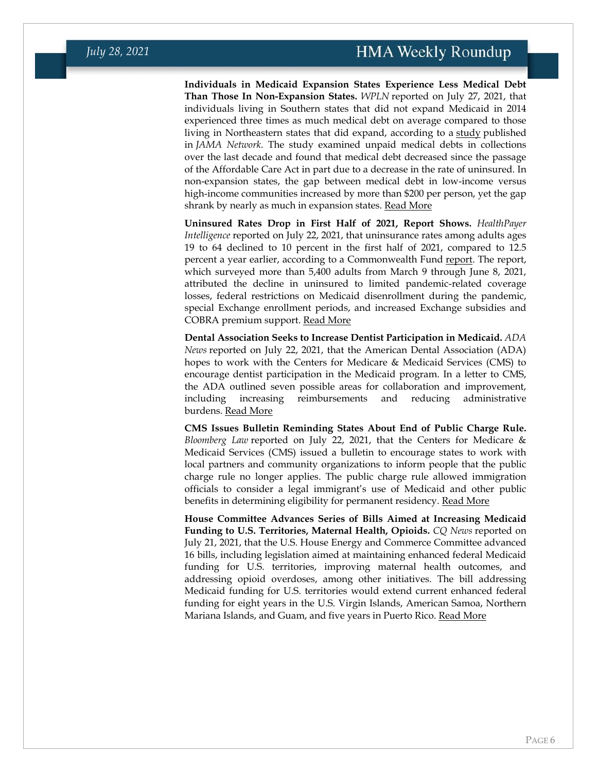**Individuals in Medicaid Expansion States Experience Less Medical Debt Than Those In Non-Expansion States.** *WPLN* reported on July 27, 2021, that individuals living in Southern states that did not expand Medicaid in 2014 experienced three times as much medical debt on average compared to those living in Northeastern states that did expand, according to a [study](https://jamanetwork.com/journals/jama/article-abstract/2782187) published in *JAMA Network*. The study examined unpaid medical debts in collections over the last decade and found that medical debt decreased since the passage of the Affordable Care Act in part due to a decrease in the rate of uninsured. In non-expansion states, the gap between medical debt in low-income versus high-income communities increased by more than \$200 per person, yet the gap shrank by nearly as much in expansion states. [Read More](https://wpln.org/post/study-residents-of-southern-states-without-medicaid-expansion-have-far-more-medical-debt/)

**Uninsured Rates Drop in First Half of 2021, Report Shows.** *HealthPayer Intelligence* reported on July 22, 2021, that uninsurance rates among adults ages 19 to 64 declined to 10 percent in the first half of 2021, compared to 12.5 percent a year earlier, according to a Commonwealth Fund [report.](https://www.commonwealthfund.org/publications/issue-briefs/2021/jul/as-pandemic-eases-what-is-state-coverage-affordability-survey) The report, which surveyed more than 5,400 adults from March 9 through June 8, 2021, attributed the decline in uninsured to limited pandemic-related coverage losses, federal restrictions on Medicaid disenrollment during the pandemic, special Exchange enrollment periods, and increased Exchange subsidies and COBRA premium support. [Read More](https://healthpayerintelligence.com/news/uninsurance-rate-drops-as-marketplace-medicaid-enrollment-rises)

**Dental Association Seeks to Increase Dentist Participation in Medicaid.** *ADA News* reported on July 22, 2021, that the American Dental Association (ADA) hopes to work with the Centers for Medicare & Medicaid Services (CMS) to encourage dentist participation in the Medicaid program. In a letter to CMS, the ADA outlined seven possible areas for collaboration and improvement, including increasing reimbursements and reducing administrative burdens. [Read More](https://www.ada.org/en/publications/ada-news/2021-archive/july/ada-asks-cms-to-prioritize-expanding-dentists-participation-in-medicaid)

**CMS Issues Bulletin Reminding States About End of Public Charge Rule.**  *Bloomberg Law* reported on July 22, 2021, that the Centers for Medicare & Medicaid Services (CMS) issued a bulletin to encourage states to work with local partners and community organizations to inform people that the public charge rule no longer applies. The public charge rule allowed immigration officials to consider a legal immigrant's use of Medicaid and other public benefits in determining eligibility for permanent residency. [Read More](https://news.bloomberglaw.com/daily-labor-report/medicaid-benefits-no-barrier-to-green-cards-agency-chief-says)

**House Committee Advances Series of Bills Aimed at Increasing Medicaid Funding to U.S. Territories, Maternal Health, Opioids.** *CQ News* reported on July 21, 2021, that the U.S. House Energy and Commerce Committee advanced 16 bills, including legislation aimed at maintaining enhanced federal Medicaid funding for U.S. territories, improving maternal health outcomes, and addressing opioid overdoses, among other initiatives. The bill addressing Medicaid funding for U.S. territories would extend current enhanced federal funding for eight years in the U.S. Virgin Islands, American Samoa, Northern Mariana Islands, and Guam, and five years in Puerto Rico. [Read More](https://plus.cq.com/doc/news-6294100)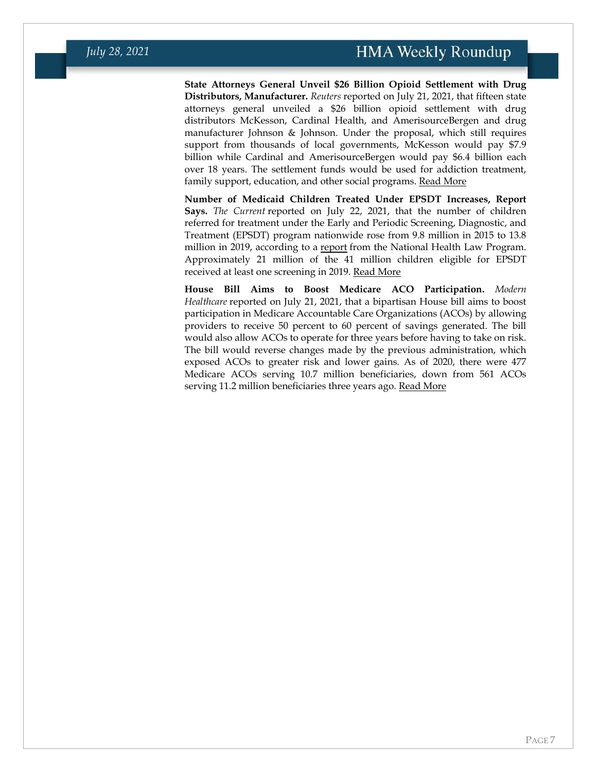**State Attorneys General Unveil \$26 Billion Opioid Settlement with Drug Distributors, Manufacturer.** *Reuters* reported on July 21, 2021, that fifteen state attorneys general unveiled a \$26 billion opioid settlement with drug distributors McKesson, Cardinal Health, and AmerisourceBergen and drug manufacturer Johnson & Johnson. Under the proposal, which still requires support from thousands of local governments, McKesson would pay \$7.9 billion while Cardinal and AmerisourceBergen would pay \$6.4 billion each over 18 years. The settlement funds would be used for addiction treatment, family support, education, and other social programs. [Read More](https://www.reuters.com/legal/litigation/drug-distributors-jj-reach-landmark-26-bln-opioid-settlement-2021-07-21/)

**Number of Medicaid Children Treated Under EPSDT Increases, Report Says.** *The Current* reported on July 22, 2021, that the number of children referred for treatment under the Early and Periodic Screening, Diagnostic, and Treatment (EPSDT) program nationwide rose from 9.8 million in 2015 to 13.8 million in 2019, according to a [report](https://healthlaw.org/resource/childrens-health-under-medicaid-a-national-review-of-early-and-periodic-screening-diagnostic-and-treatment-services-2015-2019/) from the National Health Law Program. Approximately 21 million of the 41 million children eligible for EPSDT received at least one screening in 2019. [Read More](https://thecurrentga.org/2021/07/22/whats-preventing-georgia-medicaid-kids-getting-referrals-to-care/)

**House Bill Aims to Boost Medicare ACO Participation.** *Modern Healthcare* reported on July 21, 2021, that a bipartisan House bill aims to boost participation in Medicare Accountable Care Organizations (ACOs) by allowing providers to receive 50 percent to 60 percent of savings generated. The bill would also allow ACOs to operate for three years before having to take on risk. The bill would reverse changes made by the previous administration, which exposed ACOs to greater risk and lower gains. As of 2020, there were 477 Medicare ACOs serving 10.7 million beneficiaries, down from 561 ACOs serving 11.2 million beneficiaries three years ago. [Read More](https://www.modernhealthcare.com/payment/congress-eyes-bigger-incentives-medicare-aco-participants)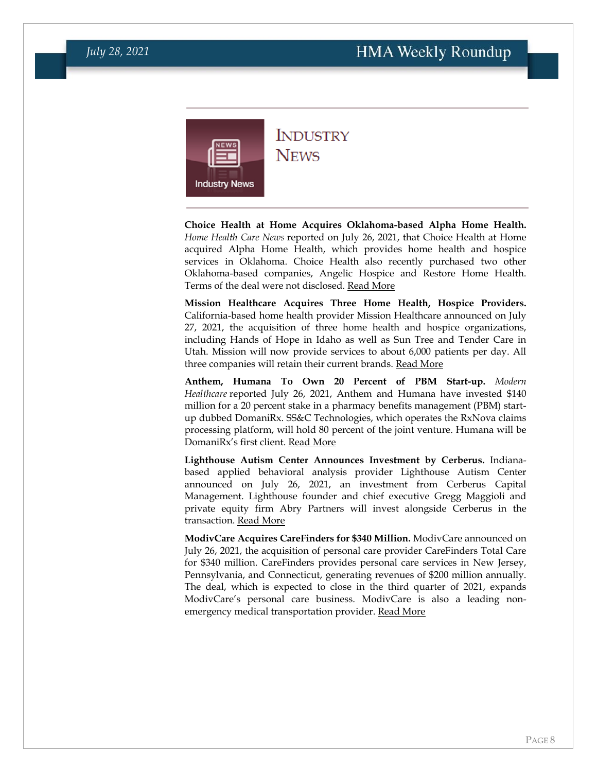<span id="page-7-0"></span>

# **INDUSTRY**

**NEWS** 

**Choice Health at Home Acquires Oklahoma-based Alpha Home Health.** *Home Health Care News* reported on July 26, 2021, that Choice Health at Home acquired Alpha Home Health, which provides home health and hospice services in Oklahoma. Choice Health also recently purchased two other Oklahoma-based companies, Angelic Hospice and Restore Home Health. Terms of the deal were not disclosed. [Read More](https://homehealthcarenews.com/2021/07/pe-backed-choice-completes-4th-acquisition-of-2021-buys-alpha-home-health-and-hospice/)

**Mission Healthcare Acquires Three Home Health, Hospice Providers.**  California-based home health provider Mission Healthcare announced on July 27, 2021, the acquisition of three home health and hospice organizations, including Hands of Hope in Idaho as well as Sun Tree and Tender Care in Utah. Mission will now provide services to about 6,000 patients per day. All three companies will retain their current brands. [Read More](https://www.prnewswire.com/news-releases/mission-healthcare-completes-acquisition-of-tender-care-hands-of-hope-hospice-and-sun-tree-hospice-301341277.html)

**Anthem, Humana To Own 20 Percent of PBM Start-up.** *Modern Healthcare* reported July 26, 2021, Anthem and Humana have invested \$140 million for a 20 percent stake in a pharmacy benefits management (PBM) startup dubbed DomaniRx. SS&C Technologies, which operates the RxNova claims processing platform, will hold 80 percent of the joint venture. Humana will be DomaniRx's first client. [Read More](https://www.modernhealthcare.com/insurance/anthem-humana-drop-nearly-140-million-launch-new-pbm)

**Lighthouse Autism Center Announces Investment by Cerberus.** Indianabased applied behavioral analysis provider Lighthouse Autism Center announced on July 26, 2021, an investment from Cerberus Capital Management. Lighthouse founder and chief executive Gregg Maggioli and private equity firm Abry Partners will invest alongside Cerberus in the transaction. [Read More](https://www.businesswire.com/news/home/20210726005183/en/Lighthouse-Autism-Center-and-Cerberus-Announce-Strategic-Partnership)

**ModivCare Acquires CareFinders for \$340 Million.** ModivCare announced on July 26, 2021, the acquisition of personal care provider CareFinders Total Care for \$340 million. CareFinders provides personal care services in New Jersey, Pennsylvania, and Connecticut, generating revenues of \$200 million annually. The deal, which is expected to close in the third quarter of 2021, expands ModivCare's personal care business. ModivCare is also a leading nonemergency medical transportation provider. [Read More](https://investors.modivcare.com/news-and-media/news-releases/news-details/2021/ModivCare-Expands-Personal-Care-Segment-with-Acquisition-of-CareFinders/default.aspx)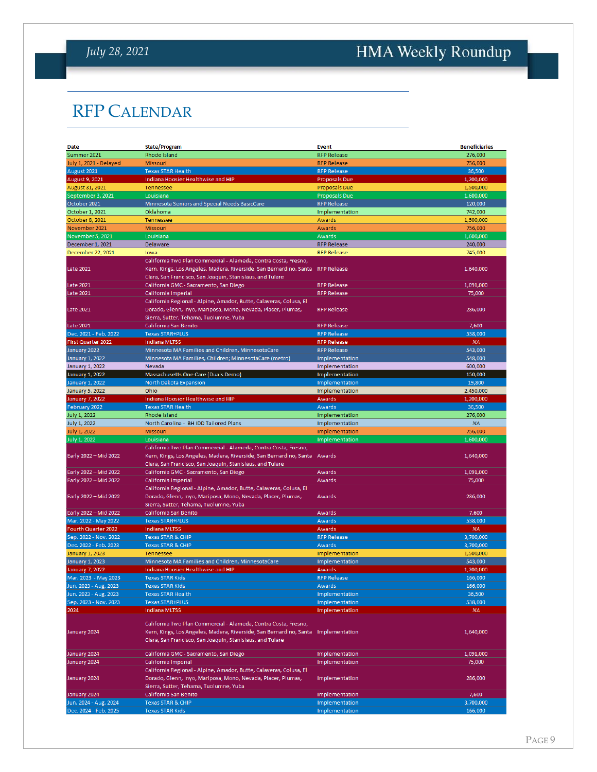## *July 28, 2021*

# <span id="page-8-0"></span>HMA Weekly Roundup

# RFP CALENDAR

| Date                               | <b>State/Program</b>                                                                                                                                                                               | <b>Event</b>         | <b>Beneficiaries</b> |
|------------------------------------|----------------------------------------------------------------------------------------------------------------------------------------------------------------------------------------------------|----------------------|----------------------|
| Summer 2021                        | Rhode Island                                                                                                                                                                                       | <b>RFP Release</b>   | 276,000              |
| July 1, 2021 - Delayed             | <b>Missouri</b>                                                                                                                                                                                    | <b>RFP Release</b>   | 756,000              |
| August 2021                        | <b>Texas STAR Health</b>                                                                                                                                                                           | <b>RFP Release</b>   | 36,500               |
| August 9, 2021                     | Indiana Hoosier Healthwise and HIP                                                                                                                                                                 | <b>Proposals Due</b> | 1,200,000            |
| August 31, 2021                    | Tennessee                                                                                                                                                                                          | Proposals Due        | 1,500,000            |
| September 3, 2021                  | Louisiana                                                                                                                                                                                          | <b>Proposals Due</b> | 1,600,000            |
| October 2021                       | Minnesota Seniors and Special Needs BasicCare                                                                                                                                                      | <b>RFP Release</b>   | 120,000              |
| October 1, 2021                    | Oklahoma                                                                                                                                                                                           | Implementation       | 742,000              |
| October 8, 2021                    | Tennessee                                                                                                                                                                                          | Awards               | 1,500,000            |
| November 2021                      | Missouri                                                                                                                                                                                           | Awards               | 756,000              |
| November 5, 2021                   | Louisiana                                                                                                                                                                                          | Awards               | 1,600,000            |
| December 1, 2021                   | Delaware                                                                                                                                                                                           | <b>RFP Release</b>   | 240,000              |
| December 22, 2021                  | lowa                                                                                                                                                                                               | <b>RFP Release</b>   | 745,000              |
| <b>Late 2021</b>                   | California Two Plan Commercial - Alameda, Contra Costa, Fresno,<br>Kern, Kings, Los Angeles, Madera, Riverside, San Bernardino, Santa                                                              | <b>RFP Release</b>   | 1,640,000            |
|                                    | Clara, San Francisco, San Joaquin, Stanislaus, and Tulare                                                                                                                                          |                      |                      |
| <b>Late 2021</b>                   | California GMC - Sacramento, San Diego                                                                                                                                                             | <b>RFP Release</b>   | 1,091,000            |
| <b>Late 2021</b>                   | California Imperial                                                                                                                                                                                | <b>RFP Release</b>   | 75,000               |
| Late 2021                          | California Regional - Alpine, Amador, Butte, Calaveras, Colusa, El<br>Dorado, Glenn, Inyo, Mariposa, Mono, Nevada, Placer, Plumas,<br>Sierra, Sutter, Tehama, Tuolumne, Yuba                       | <b>RFP Release</b>   | 286,000              |
|                                    | California San Benito                                                                                                                                                                              | <b>RFP Release</b>   | 7,600                |
| Late 2021<br>Dec. 2021 - Feb. 2022 | <b>Texas STAR+PLUS</b>                                                                                                                                                                             | <b>RFP Release</b>   | 538,000              |
| First Quarter 2022                 | <b>Indiana MLTSS</b>                                                                                                                                                                               | <b>RFP Release</b>   | NA                   |
| January 2022                       | Minnesota MA Families and Children, MinnesotaCare                                                                                                                                                  | <b>RFP Release</b>   | 543,000              |
| <b>January 1, 2022</b>             | Minnesota MA Families, Children; MinnesotaCare (metro)                                                                                                                                             | Implementation       | 548,000              |
| January 1, 2022                    | Nevada                                                                                                                                                                                             | Implementation       | 600.000              |
| January 1, 2022                    | Massachusetts One Care (Duals Demo)                                                                                                                                                                | Implementation       | 150,000              |
| <b>January 1, 2022</b>             | North Dakota Expansion                                                                                                                                                                             | Implementation       | 19,800               |
| <b>January 5, 2022</b>             | Ohio                                                                                                                                                                                               | Implementation       | 2,450,000            |
| January 7, 2022                    | Indiana Hoosier Healthwise and HIP                                                                                                                                                                 | Awards               | 1,200,000            |
| February 2022                      | <b>Texas STAR Health</b>                                                                                                                                                                           | Awards               | 36,500               |
| July 1, 2022                       | Rhode Island                                                                                                                                                                                       | Implementation       | 276,000              |
| July 1, 2022                       | North Carolina - BH IDD Tailored Plans                                                                                                                                                             | Implementation       | <b>NA</b>            |
| <b>July 1, 2022</b>                | Missouri                                                                                                                                                                                           | Implementation       | 756,000              |
| July 1, 2022                       | Louisiana                                                                                                                                                                                          | Implementation       | 1,600,000            |
| Early 2022 - Mid 2022              | California Two Plan Commercial - Alameda, Contra Costa, Fresno,<br>Kern, Kings, Los Angeles, Madera, Riverside, San Bernardino, Santa<br>Clara, San Francisco, San Joaquin, Stanislaus, and Tulare | Awards               | 1,640,000            |
| Early 2022 - Mid 2022              | California GMC - Sacramento, San Diego                                                                                                                                                             | Awards               | 1,091,000            |
| Early 2022 - Mid 2022              | California Imperial                                                                                                                                                                                | Awards               | 75,000               |
| Early 2022 - Mid 2022              | California Regional - Alpine, Amador, Butte, Calaveras, Colusa, El<br>Dorado, Glenn, Inyo, Mariposa, Mono, Nevada, Placer, Plumas,                                                                 | Awards               | 286,000              |
| Early 2022 - Mid 2022              | Sierra, Sutter, Tehama, Tuolumne, Yuba<br>California San Benito                                                                                                                                    | Awards               | 7,600                |
| Mar. 2022 - May 2022               | <b>Texas STAR+PLUS</b>                                                                                                                                                                             | <b>Awards</b>        | 538,000              |
| Fourth Quarter 2022                | <b>Indiana MLTSS</b>                                                                                                                                                                               | Awards               | <b>NA</b>            |
| Sep. 2022 - Nov. 2022              | <b>Texas STAR &amp; CHIP</b>                                                                                                                                                                       | <b>RFP Release</b>   | 3,700,000            |
| Dec. 2022 - Feb. 2023              | <b>Texas STAR &amp; CHIP</b>                                                                                                                                                                       | <b>Awards</b>        | 3,700,000            |
| January 1, 2023                    | <b>Tennessee</b>                                                                                                                                                                                   | Implementation       | 1,500,000            |
| January 1, 2023                    | Minnesota MA Families and Children, MinnesotaCare                                                                                                                                                  | Implementation       | 543,000              |
| <b>January 7, 2022</b>             | Indiana Hoosier Healthwise and HIP                                                                                                                                                                 | Awards               | 1.200.000            |
| Mar. 2023 - May 2023               | Texas STAR Kids                                                                                                                                                                                    | <b>RFP Release</b>   | 166,000              |
| Jun. 2023 - Aug. 2023              | <b>Texas STAR Kids</b>                                                                                                                                                                             | Awards               | 166,000              |
| Jun. 2023 - Aug. 2023              | <b>Texas STAR Health</b>                                                                                                                                                                           | Implementation       | 36,500               |
| Sep. 2023 - Nov. 2023              | <b>Texas STAR+PLUS</b>                                                                                                                                                                             | Implementation       | 538,000              |
| 2024                               | <b>Indiana MLTSS</b>                                                                                                                                                                               | Implementation       | <b>NA</b>            |
| January 2024                       | California Two Plan Commercial - Alameda, Contra Costa, Fresno,<br>Kern, Kings, Los Angeles, Madera, Riverside, San Bernardino, Santa<br>Clara, San Francisco, San Joaquin, Stanislaus, and Tulare | Implementation       | 1,640,000            |
| January 2024                       | California GMC - Sacramento, San Diego                                                                                                                                                             | Implementation       | 1,091,000            |
| January 2024                       | California Imperial                                                                                                                                                                                | Implementation       | 75,000               |
| January 2024                       | California Regional - Alpine, Amador, Butte, Calaveras, Colusa, El<br>Dorado, Glenn, Inyo, Mariposa, Mono, Nevada, Placer, Plumas,                                                                 | Implementation       | 286,000              |
|                                    | Sierra, Sutter, Tehama, Tuolumne, Yuba                                                                                                                                                             |                      |                      |
| January 2024                       | California San Benito                                                                                                                                                                              | Implementation       | 7,600                |
| Jun. 2024 - Aug. 2024              | <b>Texas STAR &amp; CHIP</b>                                                                                                                                                                       | Implementation       | 3,700,000            |
| Dec. 2024 - Feb. 2025              | <b>Texas STAR Kids</b>                                                                                                                                                                             | Implementation       | 166,000              |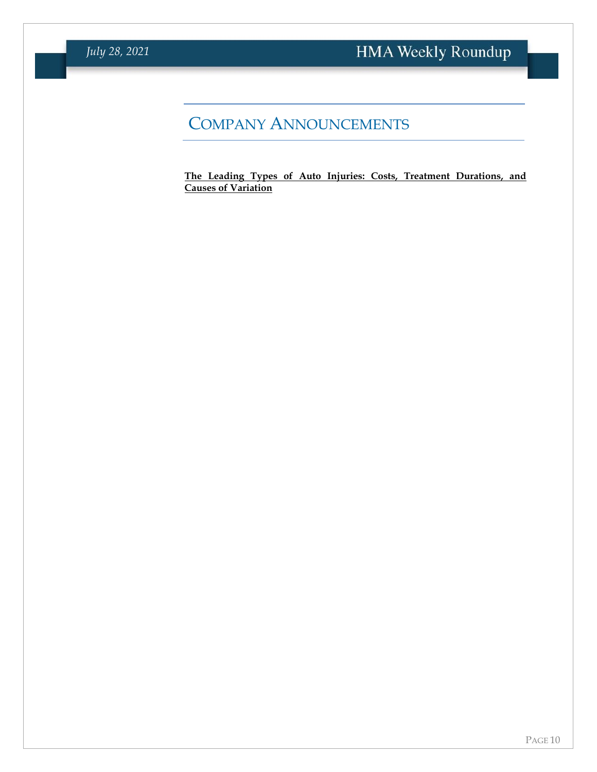### COMPANY ANNOUNCEMENTS

**[The Leading Types of Auto Injuries: Costs, Treatment Durations, and](https://info.mcg.com/odg-white-paper-leading-types-auto-injuries.html?utm_medium=membership&utm_source=hma&utm_campaign=wp-odg-2021-types-auto-injuries)  [Causes of Variation](https://info.mcg.com/odg-white-paper-leading-types-auto-injuries.html?utm_medium=membership&utm_source=hma&utm_campaign=wp-odg-2021-types-auto-injuries)**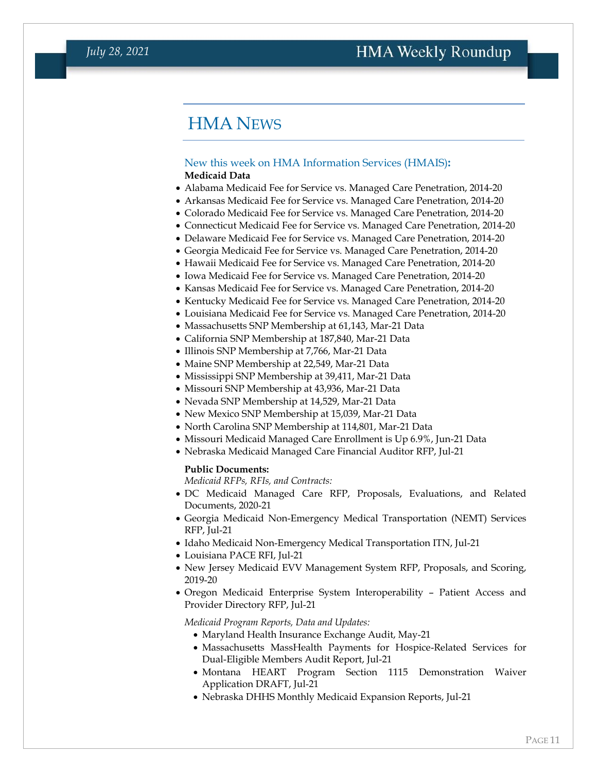### HMA NEWS

#### <span id="page-10-0"></span>New this week on HMA Information Services (HMAIS)**: Medicaid Data**

- Alabama Medicaid Fee for Service vs. Managed Care Penetration, 2014-20
- Arkansas Medicaid Fee for Service vs. Managed Care Penetration, 2014-20
- Colorado Medicaid Fee for Service vs. Managed Care Penetration, 2014-20
- Connecticut Medicaid Fee for Service vs. Managed Care Penetration, 2014-20
- Delaware Medicaid Fee for Service vs. Managed Care Penetration, 2014-20
- Georgia Medicaid Fee for Service vs. Managed Care Penetration, 2014-20
- Hawaii Medicaid Fee for Service vs. Managed Care Penetration, 2014-20
- Iowa Medicaid Fee for Service vs. Managed Care Penetration, 2014-20
- Kansas Medicaid Fee for Service vs. Managed Care Penetration, 2014-20
- Kentucky Medicaid Fee for Service vs. Managed Care Penetration, 2014-20
- Louisiana Medicaid Fee for Service vs. Managed Care Penetration, 2014-20
- Massachusetts SNP Membership at 61,143, Mar-21 Data
- California SNP Membership at 187,840, Mar-21 Data
- Illinois SNP Membership at 7,766, Mar-21 Data
- Maine SNP Membership at 22,549, Mar-21 Data
- Mississippi SNP Membership at 39,411, Mar-21 Data
- Missouri SNP Membership at 43,936, Mar-21 Data
- Nevada SNP Membership at 14,529, Mar-21 Data
- New Mexico SNP Membership at 15,039, Mar-21 Data
- North Carolina SNP Membership at 114,801, Mar-21 Data
- Missouri Medicaid Managed Care Enrollment is Up 6.9%, Jun-21 Data
- Nebraska Medicaid Managed Care Financial Auditor RFP, Jul-21

#### **Public Documents:**

*Medicaid RFPs, RFIs, and Contracts:*

- DC Medicaid Managed Care RFP, Proposals, Evaluations, and Related Documents, 2020-21
- Georgia Medicaid Non-Emergency Medical Transportation (NEMT) Services RFP, Jul-21
- Idaho Medicaid Non-Emergency Medical Transportation ITN, Jul-21
- Louisiana PACE RFI, Jul-21
- New Jersey Medicaid EVV Management System RFP, Proposals, and Scoring, 2019-20
- Oregon Medicaid Enterprise System Interoperability Patient Access and Provider Directory RFP, Jul-21

*Medicaid Program Reports, Data and Updates:*

- Maryland Health Insurance Exchange Audit, May-21
- Massachusetts MassHealth Payments for Hospice-Related Services for Dual-Eligible Members Audit Report, Jul-21
- Montana HEART Program Section 1115 Demonstration Waiver Application DRAFT, Jul-21
- Nebraska DHHS Monthly Medicaid Expansion Reports, Jul-21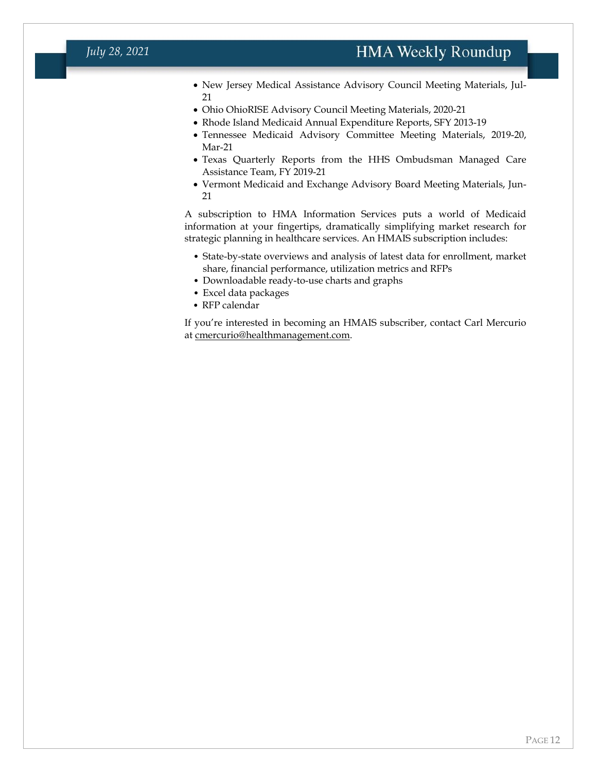- New Jersey Medical Assistance Advisory Council Meeting Materials, Jul-21
- Ohio OhioRISE Advisory Council Meeting Materials, 2020-21
- Rhode Island Medicaid Annual Expenditure Reports, SFY 2013-19
- Tennessee Medicaid Advisory Committee Meeting Materials, 2019-20, Mar-21
- Texas Quarterly Reports from the HHS Ombudsman Managed Care Assistance Team, FY 2019-21
- Vermont Medicaid and Exchange Advisory Board Meeting Materials, Jun-21

A subscription to HMA Information Services puts a world of Medicaid information at your fingertips, dramatically simplifying market research for strategic planning in healthcare services. An HMAIS subscription includes:

- State-by-state overviews and analysis of latest data for enrollment, market share, financial performance, utilization metrics and RFPs
- Downloadable ready-to-use charts and graphs
- Excel data packages
- RFP calendar

If you're interested in becoming an HMAIS subscriber, contact Carl Mercurio at [cmercurio@healthmanagement.com.](mailto:cmercurio@healthmanagement.com)